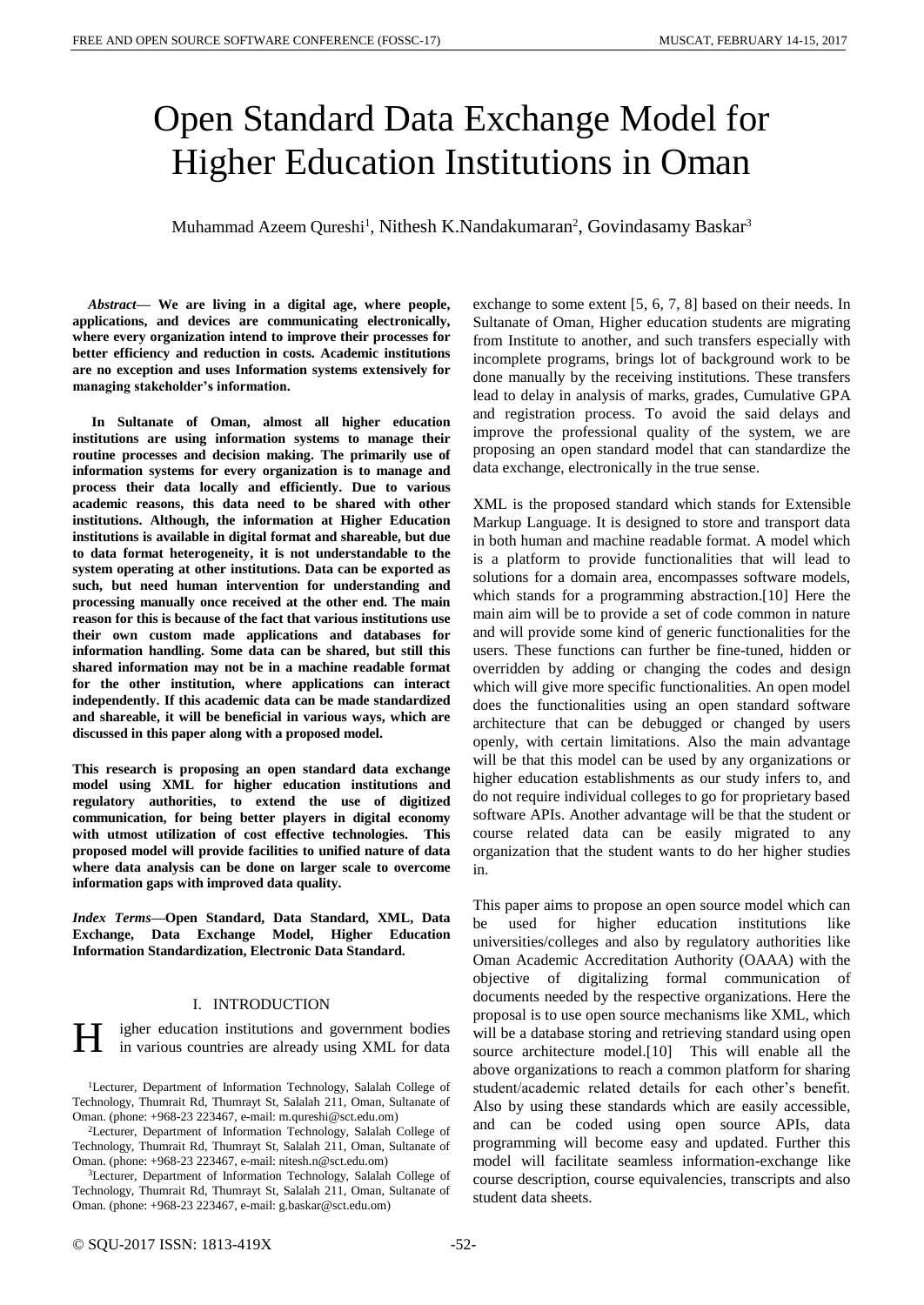# Open Standard Data Exchange Model for Higher Education Institutions in Oman

Muhammad Azeem Qureshi<sup>1</sup>, Nithesh K.Nandakumaran<sup>2</sup>, Govindasamy Baskar<sup>3</sup>

*Abstract***— We are living in a digital age, where people, applications, and devices are communicating electronically, where every organization intend to improve their processes for better efficiency and reduction in costs. Academic institutions are no exception and uses Information systems extensively for managing stakeholder's information.**

**In Sultanate of Oman, almost all higher education institutions are using information systems to manage their routine processes and decision making. The primarily use of information systems for every organization is to manage and process their data locally and efficiently. Due to various academic reasons, this data need to be shared with other institutions. Although, the information at Higher Education institutions is available in digital format and shareable, but due to data format heterogeneity, it is not understandable to the system operating at other institutions. Data can be exported as such, but need human intervention for understanding and processing manually once received at the other end. The main reason for this is because of the fact that various institutions use their own custom made applications and databases for information handling. Some data can be shared, but still this shared information may not be in a machine readable format for the other institution, where applications can interact independently. If this academic data can be made standardized and shareable, it will be beneficial in various ways, which are discussed in this paper along with a proposed model.**

**This research is proposing an open standard data exchange model using XML for higher education institutions and regulatory authorities, to extend the use of digitized communication, for being better players in digital economy with utmost utilization of cost effective technologies. This proposed model will provide facilities to unified nature of data where data analysis can be done on larger scale to overcome information gaps with improved data quality.**

*Index Terms***—Open Standard, Data Standard, XML, Data Exchange, Data Exchange Model, Higher Education Information Standardization, Electronic Data Standard.**

#### I. INTRODUCTION

igher education institutions and government bodies in various countries are already using XML for data H

<sup>1</sup>Lecturer, Department of Information Technology, Salalah College of Technology, Thumrait Rd, Thumrayt St, Salalah 211, Oman, Sultanate of Oman. (phone: +968-23 223467, e-mail: m.qureshi@sct.edu.om)

<sup>2</sup>Lecturer, Department of Information Technology, Salalah College of Technology, Thumrait Rd, Thumrayt St, Salalah 211, Oman, Sultanate of Oman. (phone: +968-23 223467, e-mail: nitesh.n@sct.edu.om)

<sup>3</sup>Lecturer, Department of Information Technology, Salalah College of Technology, Thumrait Rd, Thumrayt St, Salalah 211, Oman, Sultanate of Oman. (phone: +968-23 223467, e-mail: g.baskar@sct.edu.om)

exchange to some extent [5, 6, 7, 8] based on their needs. In Sultanate of Oman, Higher education students are migrating from Institute to another, and such transfers especially with incomplete programs, brings lot of background work to be done manually by the receiving institutions. These transfers lead to delay in analysis of marks, grades, Cumulative GPA and registration process. To avoid the said delays and improve the professional quality of the system, we are proposing an open standard model that can standardize the data exchange, electronically in the true sense.

XML is the proposed standard which stands for Extensible Markup Language. It is designed to store and transport data in both human and machine readable format. A model which is a platform to provide functionalities that will lead to solutions for a domain area, encompasses software models, which stands for a programming abstraction.[10] Here the main aim will be to provide a set of code common in nature and will provide some kind of generic functionalities for the users. These functions can further be fine-tuned, hidden or overridden by adding or changing the codes and design which will give more specific functionalities. An open model does the functionalities using an open standard software architecture that can be debugged or changed by users openly, with certain limitations. Also the main advantage will be that this model can be used by any organizations or higher education establishments as our study infers to, and do not require individual colleges to go for proprietary based software APIs. Another advantage will be that the student or course related data can be easily migrated to any organization that the student wants to do her higher studies in.

This paper aims to propose an open source model which can be used for higher education institutions like universities/colleges and also by regulatory authorities like Oman Academic Accreditation Authority (OAAA) with the objective of digitalizing formal communication of documents needed by the respective organizations. Here the proposal is to use open source mechanisms like XML, which will be a database storing and retrieving standard using open source architecture model.[10] This will enable all the above organizations to reach a common platform for sharing student/academic related details for each other's benefit. Also by using these standards which are easily accessible, and can be coded using open source APIs, data programming will become easy and updated. Further this model will facilitate seamless information-exchange like course description, course equivalencies, transcripts and also student data sheets.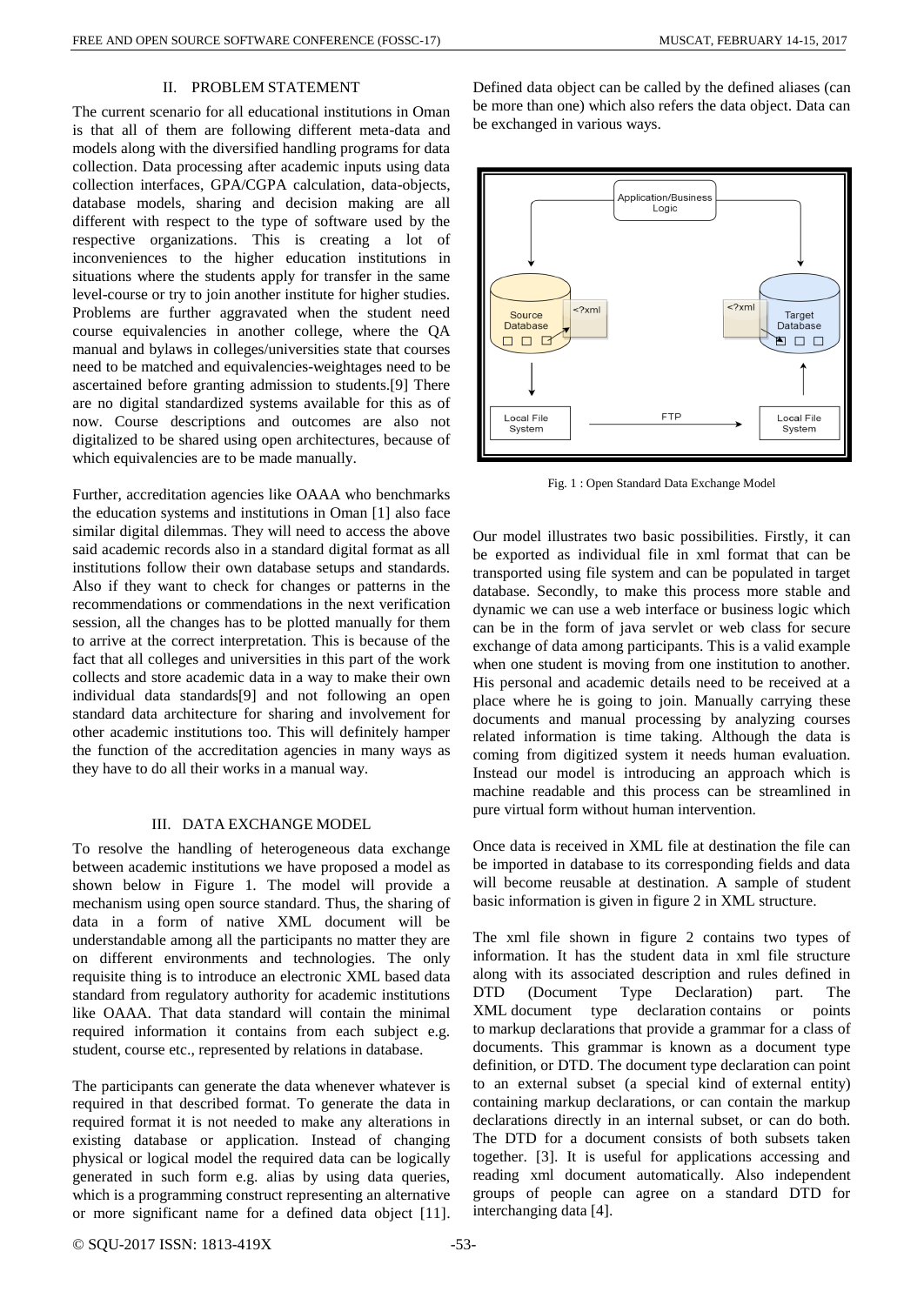## II. PROBLEM STATEMENT

The current scenario for all educational institutions in Oman is that all of them are following different meta-data and models along with the diversified handling programs for data collection. Data processing after academic inputs using data collection interfaces, GPA/CGPA calculation, data-objects, database models, sharing and decision making are all different with respect to the type of software used by the respective organizations. This is creating a lot of inconveniences to the higher education institutions in situations where the students apply for transfer in the same level-course or try to join another institute for higher studies. Problems are further aggravated when the student need course equivalencies in another college, where the QA manual and bylaws in colleges/universities state that courses need to be matched and equivalencies-weightages need to be ascertained before granting admission to students.[9] There are no digital standardized systems available for this as of now. Course descriptions and outcomes are also not digitalized to be shared using open architectures, because of which equivalencies are to be made manually.

Further, accreditation agencies like OAAA who benchmarks the education systems and institutions in Oman [1] also face similar digital dilemmas. They will need to access the above said academic records also in a standard digital format as all institutions follow their own database setups and standards. Also if they want to check for changes or patterns in the recommendations or commendations in the next verification session, all the changes has to be plotted manually for them to arrive at the correct interpretation. This is because of the fact that all colleges and universities in this part of the work collects and store academic data in a way to make their own individual data standards[9] and not following an open standard data architecture for sharing and involvement for other academic institutions too. This will definitely hamper the function of the accreditation agencies in many ways as they have to do all their works in a manual way.

### III. DATA EXCHANGE MODEL

To resolve the handling of heterogeneous data exchange between academic institutions we have proposed a model as shown below in Figure 1. The model will provide a mechanism using open source standard. Thus, the sharing of data in a form of native XML document will be understandable among all the participants no matter they are on different environments and technologies. The only requisite thing is to introduce an electronic XML based data standard from regulatory authority for academic institutions like OAAA. That data standard will contain the minimal required information it contains from each subject e.g. student, course etc., represented by relations in database.

The participants can generate the data whenever whatever is required in that described format. To generate the data in required format it is not needed to make any alterations in existing database or application. Instead of changing physical or logical model the required data can be logically generated in such form e.g. alias by using data queries, which is a programming construct representing an alternative or more significant name for a defined data object [11].

Defined data object can be called by the defined aliases (can be more than one) which also refers the data object. Data can be exchanged in various ways.



Fig. 1 : Open Standard Data Exchange Model

Our model illustrates two basic possibilities. Firstly, it can be exported as individual file in xml format that can be transported using file system and can be populated in target database. Secondly, to make this process more stable and dynamic we can use a web interface or business logic which can be in the form of java servlet or web class for secure exchange of data among participants. This is a valid example when one student is moving from one institution to another. His personal and academic details need to be received at a place where he is going to join. Manually carrying these documents and manual processing by analyzing courses related information is time taking. Although the data is coming from digitized system it needs human evaluation. Instead our model is introducing an approach which is machine readable and this process can be streamlined in pure virtual form without human intervention.

Once data is received in XML file at destination the file can be imported in database to its corresponding fields and data will become reusable at destination. A sample of student basic information is given in figure 2 in XML structure.

The xml file shown in figure 2 contains two types of information. It has the student data in xml file structure along with its associated description and rules defined in DTD (Document Type Declaration) part. The XML document type declaration contains or points to [markup declarations](https://www.w3.org/TR/2004/REC-xml11-20040204/#dt-markupdecl) that provide a grammar for a class of documents. This grammar is known as a document type definition, or DTD. The document type declaration can point to an external subset (a special kind of [external entity\)](https://www.w3.org/TR/2004/REC-xml11-20040204/#dt-extent) containing markup declarations, or can contain the markup declarations directly in an internal subset, or can do both. The DTD for a document consists of both subsets taken together. [3]. It is useful for applications accessing and reading xml document automatically. Also independent groups of people can agree on a standard DTD for interchanging data [4].